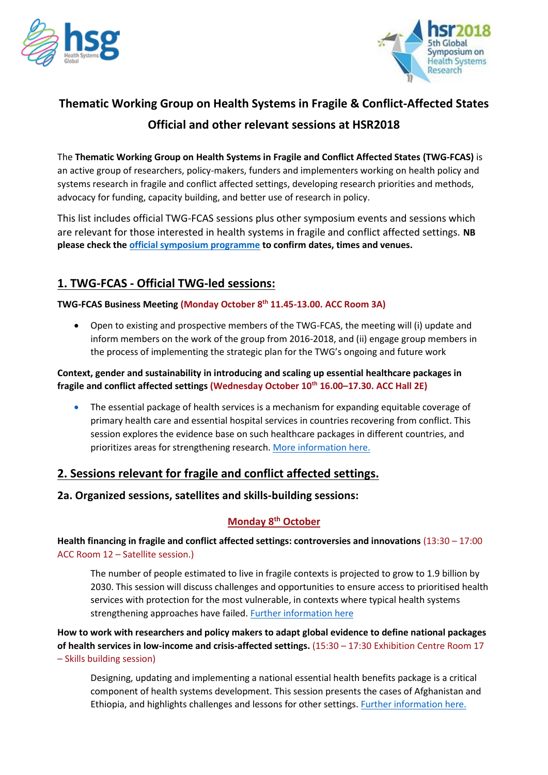



# **Thematic Working Group on Health Systems in Fragile & Conflict-Affected States Official and other relevant sessions at HSR2018**

The **Thematic Working Group on Health Systems in Fragile and Conflict Affected States (TWG-FCAS)** is an active group of researchers, policy-makers, funders and implementers working on health policy and systems research in fragile and conflict affected settings, developing research priorities and methods, advocacy for funding, capacity building, and better use of research in policy.

This list includes official TWG-FCAS sessions plus other symposium events and sessions which are relevant for those interested in health systems in fragile and conflict affected settings. **NB please check th[e official symposium programme](http://healthsystemsresearch.org/hsr2018/symposium-program/) to confirm dates, times and venues.** 

## **1. TWG-FCAS - Official TWG-led sessions:**

#### **TWG-FCAS Business Meeting (Monday October 8th 11.45-13.00. ACC Room 3A)**

• Open to existing and prospective members of the TWG-FCAS, the meeting will (i) update and inform members on the work of the group from 2016-2018, and (ii) engage group members in the process of implementing the strategic plan for the TWG's ongoing and future work

#### **Context, gender and sustainability in introducing and scaling up essential healthcare packages in fragile and conflict affected settings (Wednesday October 10th 16.00–17.30. ACC Hall 2E)**

• The essential package of health services is a mechanism for expanding equitable coverage of primary health care and essential hospital services in countries recovering from conflict. This session explores the evidence base on such healthcare packages in different countries, and prioritizes areas for strengthening research. [More information here.](https://app.socio.events/#/event/MjEyMQ==/agendain/37645)

## **2. Sessions relevant for fragile and conflict affected settings.**

#### **2a. Organized sessions, satellites and skills-building sessions:**

## **Monday 8th October**

**Health financing in fragile and conflict affected settings: controversies and innovations** (13:30 – 17:00 ACC Room 12 – Satellite session.)

The number of people estimated to live in fragile contexts is projected to grow to 1.9 billion by 2030. This session will discuss challenges and opportunities to ensure access to prioritised health services with protection for the most vulnerable, in contexts where typical health systems strengthening approaches have failed. [Further information here](https://rebuildconsortium.com/events/fifth-global-symposium-on-health-systems-research-2018/health-financing-fcas/)

**How to work with researchers and policy makers to adapt global evidence to define national packages of health services in low-income and crisis-affected settings.** (15:30 – 17:30 Exhibition Centre Room 17 – Skills building session)

Designing, updating and implementing a national essential health benefits package is a critical component of health systems development. This session presents the cases of Afghanistan and Ethiopia, and highlights challenges and lessons for other settings. [Further information here.](https://app.socio.events/#/event/MjEyMQ==/agenda/9516/details/37553)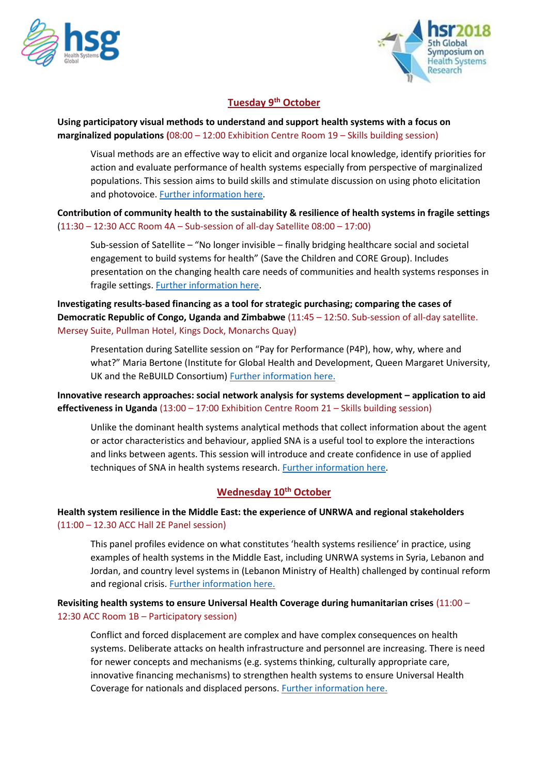



#### **Tuesday 9th October**

#### **Using participatory visual methods to understand and support health systems with a focus on marginalized populations (**08:00 – 12:00 Exhibition Centre Room 19 – Skills building session)

Visual methods are an effective way to elicit and organize local knowledge, identify priorities for action and evaluate performance of health systems especially from perspective of marginalized populations. This session aims to build skills and stimulate discussion on using photo elicitation and photovoice. [Further information here.](https://rebuildconsortium.com/events/fifth-global-symposium-on-health-systems-research-2018/participatory-visual-methods/)

**Contribution of community health to the sustainability & resilience of health systems in fragile settings** (11:30 – 12:30 ACC Room 4A – Sub-session of all-day Satellite 08:00 – 17:00)

Sub-session of Satellite – "No longer invisible – finally bridging healthcare social and societal engagement to build systems for health" (Save the Children and CORE Group). Includes presentation on the changing health care needs of communities and health systems responses in fragile settings. [Further information here.](https://rebuildconsortium.com/events/fifth-global-symposium-on-health-systems-research-2018/no-longer-invisible/)

**Investigating results-based financing as a tool for strategic purchasing; comparing the cases of Democratic Republic of Congo, Uganda and Zimbabwe** (11:45 – 12:50. Sub-session of all-day satellite. Mersey Suite, Pullman Hotel, Kings Dock, Monarchs Quay)

Presentation during Satellite session on "Pay for Performance (P4P), how, why, where and what?" Maria Bertone (Institute for Global Health and Development, Queen Margaret University, UK and the ReBUILD Consortium) [Further information here.](https://rebuildconsortium.com/events/fifth-global-symposium-on-health-systems-research-2018/p4p-how-why-where-and-what/)

**Innovative research approaches: social network analysis for systems development – application to aid effectiveness in Uganda** (13:00 – 17:00 Exhibition Centre Room 21 – Skills building session)

Unlike the dominant health systems analytical methods that collect information about the agent or actor characteristics and behaviour, applied SNA is a useful tool to explore the interactions and links between agents. This session will introduce and create confidence in use of applied techniques of SNA in health systems research[. Further information here.](https://rebuildconsortium.com/events/fifth-global-symposium-on-health-systems-research-2018/social-network-analysis-for-health-systems-development/)

## **Wednesday 10th October**

**Health system resilience in the Middle East: the experience of UNRWA and regional stakeholders** (11:00 – 12.30 ACC Hall 2E Panel session)

This panel profiles evidence on what constitutes 'health systems resilience' in practice, using examples of health systems in the Middle East, including UNRWA systems in Syria, Lebanon and Jordan, and country level systems in (Lebanon Ministry of Health) challenged by continual reform and regional crisis. [Further information here.](https://app.socio.events/#/event/MjEyMQ==/agenda/9516/details/37612)

**Revisiting health systems to ensure Universal Health Coverage during humanitarian crises** (11:00 – 12:30 ACC Room 1B – Participatory session)

Conflict and forced displacement are complex and have complex consequences on health systems. Deliberate attacks on health infrastructure and personnel are increasing. There is need for newer concepts and mechanisms (e.g. systems thinking, culturally appropriate care, innovative financing mechanisms) to strengthen health systems to ensure Universal Health Coverage for nationals and displaced persons. [Further information here.](https://app.socio.events/#/event/MjEyMQ==/agenda/9516/details/37602)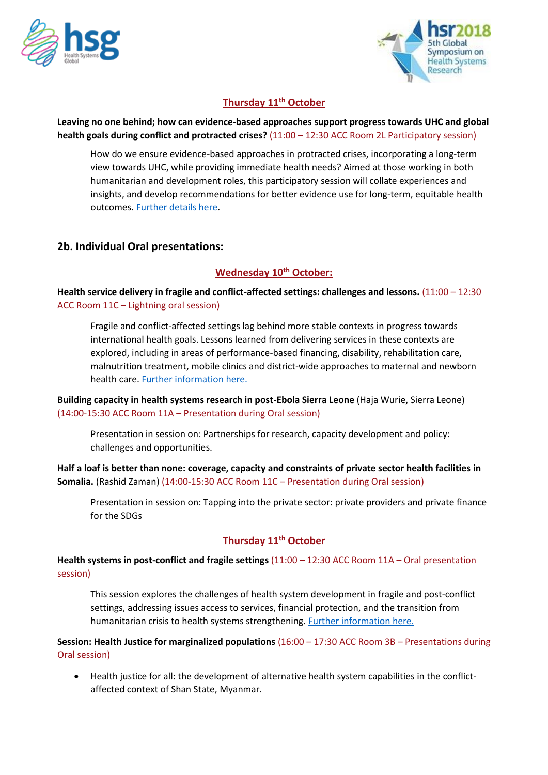



## **Thursday 11th October**

#### **Leaving no one behind; how can evidence-based approaches support progress towards UHC and global health goals during conflict and protracted crises?** (11:00 – 12:30 ACC Room 2L Participatory session)

How do we ensure evidence-based approaches in protracted crises, incorporating a long-term view towards UHC, while providing immediate health needs? Aimed at those working in both humanitarian and development roles, this participatory session will collate experiences and insights, and develop recommendations for better evidence use for long-term, equitable health outcomes. [Further](https://rebuildconsortium.com/events/fifth-global-symposium-on-health-systems-research-2018/leaving-no-one-behind/) details here.

## **2b. Individual Oral presentations:**

## **Wednesday 10th October:**

**Health service delivery in fragile and conflict-affected settings: challenges and lessons.** (11:00 – 12:30 ACC Room 11C – Lightning oral session)

Fragile and conflict-affected settings lag behind more stable contexts in progress towards international health goals. Lessons learned from delivering services in these contexts are explored, including in areas of performance-based financing, disability, rehabilitation care, malnutrition treatment, mobile clinics and district-wide approaches to maternal and newborn health care. [Further information here.](https://app.socio.events/#/event/MjEyMQ==/agenda/9516/details/37610)

**Building capacity in health systems research in post-Ebola Sierra Leone** (Haja Wurie, Sierra Leone) (14:00-15:30 ACC Room 11A – Presentation during Oral session)

Presentation in session on: Partnerships for research, capacity development and policy: challenges and opportunities.

**Half a loaf is better than none: coverage, capacity and constraints of private sector health facilities in Somalia.** (Rashid Zaman) (14:00-15:30 ACC Room 11C – Presentation during Oral session)

Presentation in session on: Tapping into the private sector: private providers and private finance for the SDGs

### **Thursday 11th October**

**Health systems in post-conflict and fragile settings** (11:00 – 12:30 ACC Room 11A – Oral presentation session)

This session explores the challenges of health system development in fragile and post-conflict settings, addressing issues access to services, financial protection, and the transition from humanitarian crisis to health systems strengthening. [Further information here.](https://app.socio.events/#/event/MjEyMQ==/agenda/9516/details/37659)

**Session: Health Justice for marginalized populations** (16:00 – 17:30 ACC Room 3B – Presentations during Oral session)

• Health justice for all: the development of alternative health system capabilities in the conflictaffected context of Shan State, Myanmar.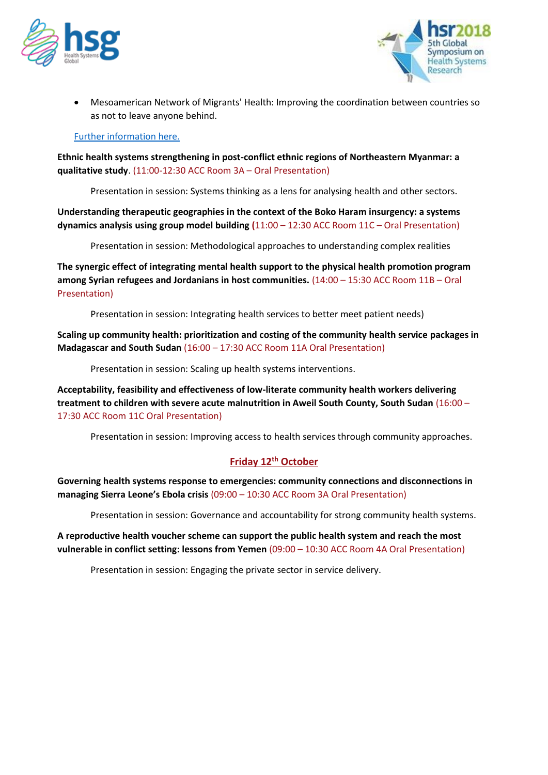



• Mesoamerican Network of Migrants' Health: Improving the coordination between countries so as not to leave anyone behind.

#### [Further information here.](https://app.socio.events/#/event/MjEyMQ==/agenda/9516/details/37689)

**Ethnic health systems strengthening in post-conflict ethnic regions of Northeastern Myanmar: a qualitative study**. (11:00-12:30 ACC Room 3A – Oral Presentation)

Presentation in session: Systems thinking as a lens for analysing health and other sectors.

**Understanding therapeutic geographies in the context of the Boko Haram insurgency: a systems dynamics analysis using group model building (**11:00 – 12:30 ACC Room 11C – Oral Presentation)

Presentation in session: Methodological approaches to understanding complex realities

**The synergic effect of integrating mental health support to the physical health promotion program among Syrian refugees and Jordanians in host communities.** (14:00 – 15:30 ACC Room 11B – Oral Presentation)

Presentation in session: Integrating health services to better meet patient needs)

**Scaling up community health: prioritization and costing of the community health service packages in Madagascar and South Sudan** (16:00 – 17:30 ACC Room 11A Oral Presentation)

Presentation in session: Scaling up health systems interventions.

**Acceptability, feasibility and effectiveness of low-literate community health workers delivering treatment to children with severe acute malnutrition in Aweil South County, South Sudan** (16:00 – 17:30 ACC Room 11C Oral Presentation)

Presentation in session: Improving access to health services through community approaches.

## **Friday 12th October**

**Governing health systems response to emergencies: community connections and disconnections in managing Sierra Leone's Ebola crisis** (09:00 – 10:30 ACC Room 3A Oral Presentation)

Presentation in session: Governance and accountability for strong community health systems.

**A reproductive health voucher scheme can support the public health system and reach the most vulnerable in conflict setting: lessons from Yemen** (09:00 – 10:30 ACC Room 4A Oral Presentation)

Presentation in session: Engaging the private sector in service delivery.